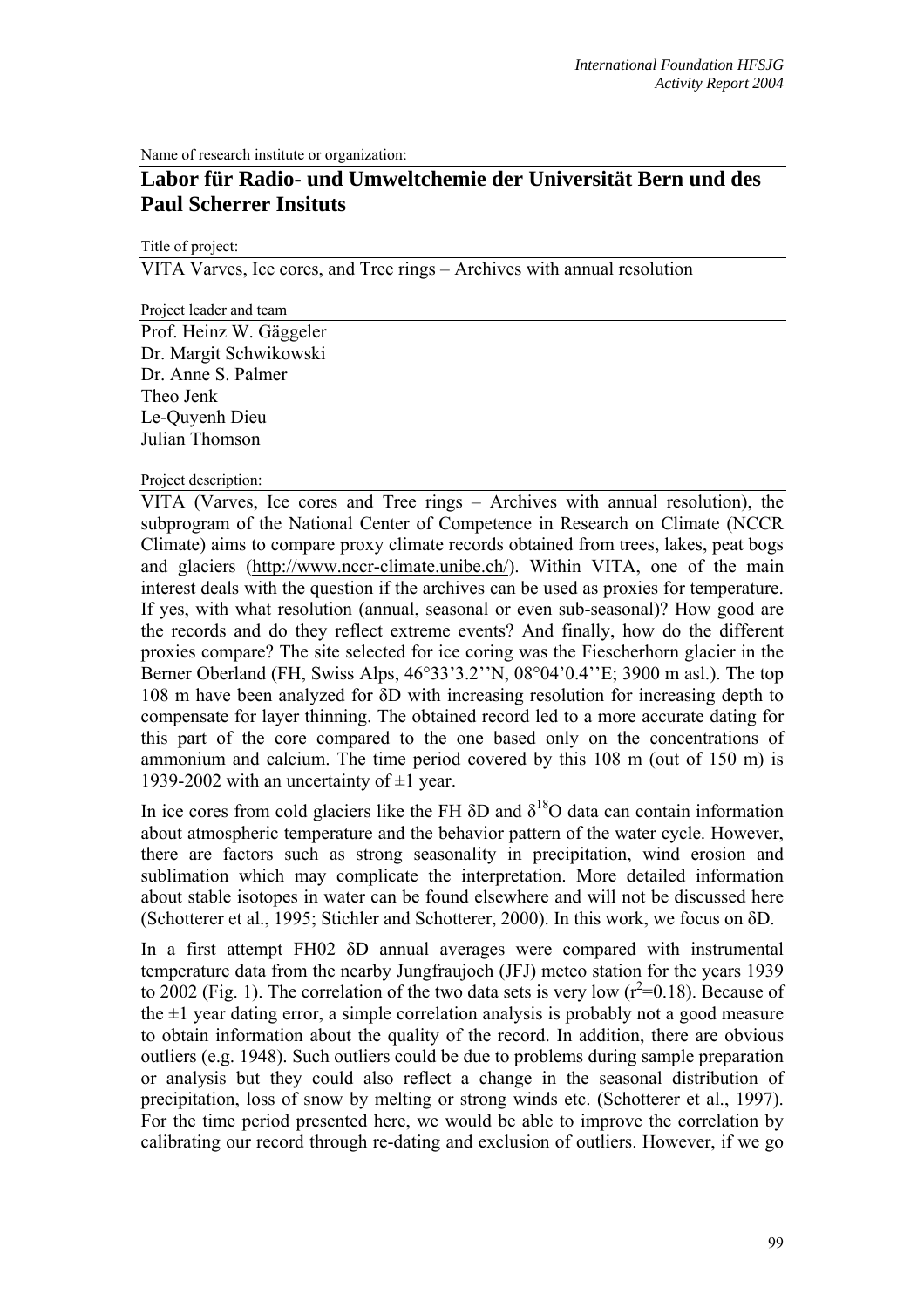Name of research institute or organization:

# **Labor für Radio- und Umweltchemie der Universität Bern und des Paul Scherrer Insituts**

Title of project:

VITA Varves, Ice cores, and Tree rings – Archives with annual resolution

Project leader and team

Prof. Heinz W. Gäggeler Dr. Margit Schwikowski Dr. Anne S. Palmer Theo Jenk Le-Quyenh Dieu Julian Thomson

## Project description:

VITA (Varves, Ice cores and Tree rings – Archives with annual resolution), the subprogram of the National Center of Competence in Research on Climate (NCCR Climate) aims to compare proxy climate records obtained from trees, lakes, peat bogs and glaciers [\(http://www.nccr-climate.unibe.ch/\)](http://www.nccr-climate.unibe.ch/). Within VITA, one of the main interest deals with the question if the archives can be used as proxies for temperature. If yes, with what resolution (annual, seasonal or even sub-seasonal)? How good are the records and do they reflect extreme events? And finally, how do the different proxies compare? The site selected for ice coring was the Fiescherhorn glacier in the Berner Oberland (FH, Swiss Alps, 46°33'3.2''N, 08°04'0.4''E; 3900 m asl.). The top 108 m have been analyzed for δD with increasing resolution for increasing depth to compensate for layer thinning. The obtained record led to a more accurate dating for this part of the core compared to the one based only on the concentrations of ammonium and calcium. The time period covered by this 108 m (out of 150 m) is 1939-2002 with an uncertainty of  $\pm 1$  year.

In ice cores from cold glaciers like the FH  $\delta$ D and  $\delta^{18}$ O data can contain information about atmospheric temperature and the behavior pattern of the water cycle. However, there are factors such as strong seasonality in precipitation, wind erosion and sublimation which may complicate the interpretation. More detailed information about stable isotopes in water can be found elsewhere and will not be discussed here (Schotterer et al., 1995; Stichler and Schotterer, 2000). In this work, we focus on δD.

In a first attempt FH02 δD annual averages were compared with instrumental temperature data from the nearby Jungfraujoch (JFJ) meteo station for the years 1939 to 2002 (Fig. 1). The correlation of the two data sets is very low  $(r^2=0.18)$ . Because of the  $\pm 1$  year dating error, a simple correlation analysis is probably not a good measure to obtain information about the quality of the record. In addition, there are obvious outliers (e.g. 1948). Such outliers could be due to problems during sample preparation or analysis but they could also reflect a change in the seasonal distribution of precipitation, loss of snow by melting or strong winds etc. (Schotterer et al., 1997). For the time period presented here, we would be able to improve the correlation by calibrating our record through re-dating and exclusion of outliers. However, if we go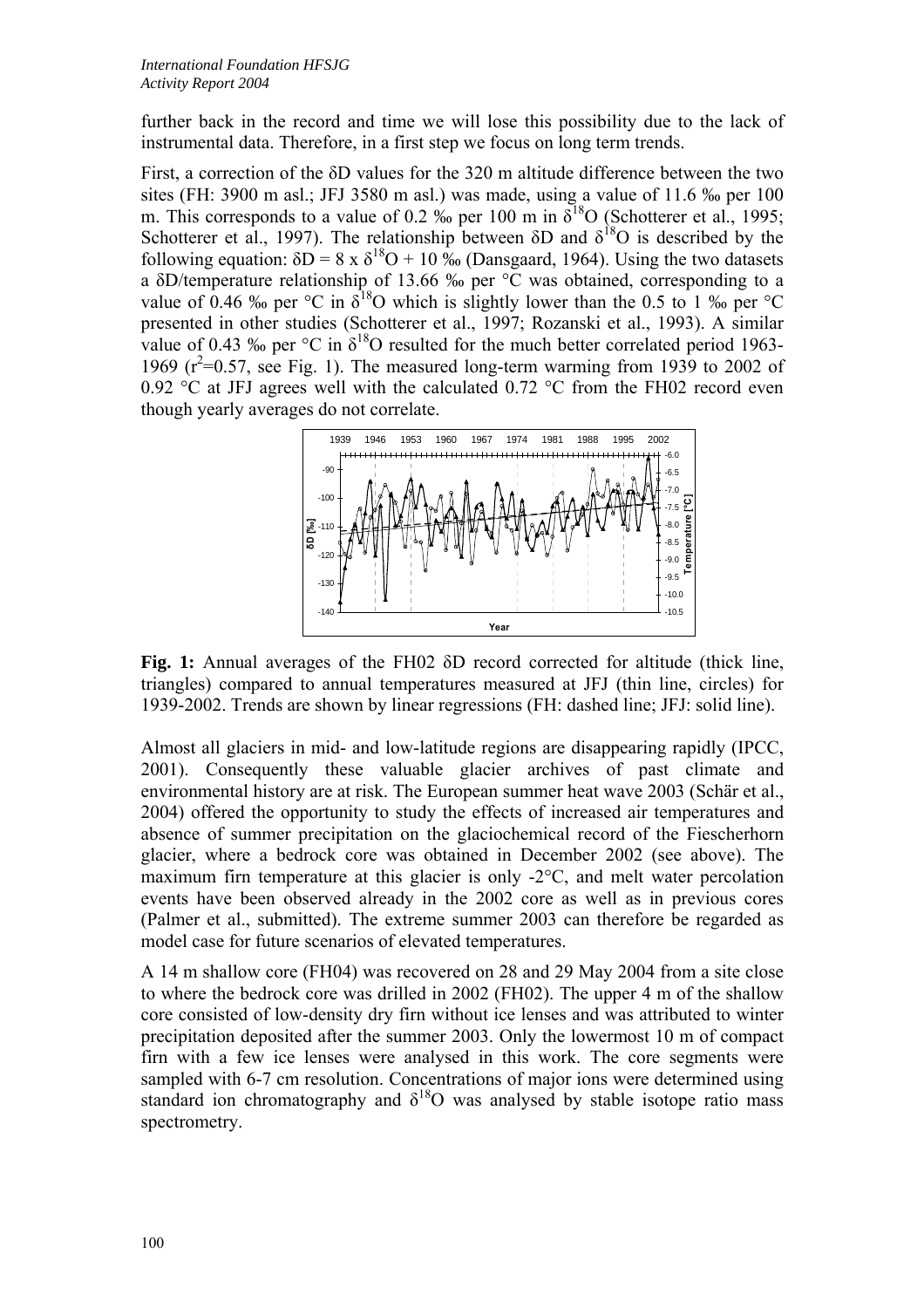further back in the record and time we will lose this possibility due to the lack of instrumental data. Therefore, in a first step we focus on long term trends.

First, a correction of the δD values for the 320 m altitude difference between the two sites (FH: 3900 m asl.; JFJ 3580 m asl.) was made, using a value of 11.6 ‰ per 100 m. This corresponds to a value of 0.2 ‰ per 100 m in  $\delta^{18}$ O (Schotterer et al., 1995; Schotterer et al., 1997). The relationship between  $\delta D$  and  $\delta^{18}O$  is described by the following equation:  $\delta D = 8 \times \delta^{18}O + 10\%$  (Dansgaard, 1964). Using the two datasets a δD/temperature relationship of 13.66 ‰ per °C was obtained, corresponding to a value of 0.46 ‰ per °C in  $\delta^{18}$ O which is slightly lower than the 0.5 to 1 ‰ per °C presented in other studies (Schotterer et al., 1997; Rozanski et al., 1993). A similar value of 0.43 ‰ per  $\mathrm{C}$  in  $\delta^{18}$ O resulted for the much better correlated period 1963-1969  $(r^2=0.57, \text{ see Fig. 1})$ . The measured long-term warming from 1939 to 2002 of 0.92 °C at JFJ agrees well with the calculated 0.72 °C from the FH02 record even though yearly averages do not correlate.



**Fig. 1:** Annual averages of the FH02 δD record corrected for altitude (thick line, triangles) compared to annual temperatures measured at JFJ (thin line, circles) for 1939-2002. Trends are shown by linear regressions (FH: dashed line; JFJ: solid line).

Almost all glaciers in mid- and low-latitude regions are disappearing rapidly (IPCC, 2001). Consequently these valuable glacier archives of past climate and environmental history are at risk. The European summer heat wave 2003 (Schär et al., 2004) offered the opportunity to study the effects of increased air temperatures and absence of summer precipitation on the glaciochemical record of the Fiescherhorn glacier, where a bedrock core was obtained in December 2002 (see above). The maximum firn temperature at this glacier is only -2°C, and melt water percolation events have been observed already in the 2002 core as well as in previous cores (Palmer et al., submitted). The extreme summer 2003 can therefore be regarded as model case for future scenarios of elevated temperatures.

A 14 m shallow core (FH04) was recovered on 28 and 29 May 2004 from a site close to where the bedrock core was drilled in 2002 (FH02). The upper 4 m of the shallow core consisted of low-density dry firn without ice lenses and was attributed to winter precipitation deposited after the summer 2003. Only the lowermost 10 m of compact firn with a few ice lenses were analysed in this work. The core segments were sampled with 6-7 cm resolution. Concentrations of major ions were determined using standard ion chromatography and  $\delta^{18}$ O was analysed by stable isotope ratio mass spectrometry.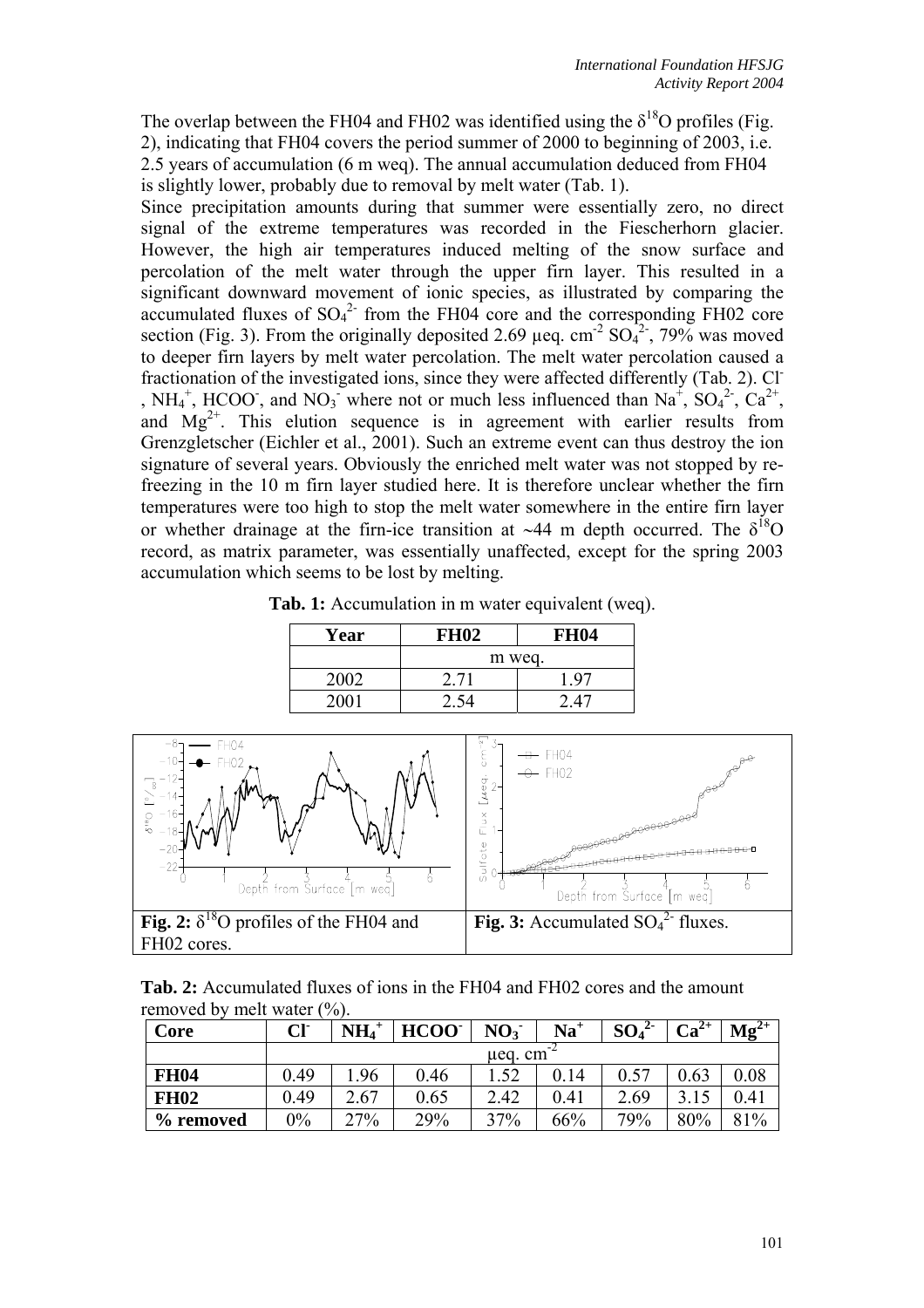The overlap between the FH04 and FH02 was identified using the  $\delta^{18}O$  profiles (Fig. 2), indicating that FH04 covers the period summer of 2000 to beginning of 2003, i.e. 2.5 years of accumulation (6 m weq). The annual accumulation deduced from FH04 is slightly lower, probably due to removal by melt water (Tab. 1).

Since precipitation amounts during that summer were essentially zero, no direct signal of the extreme temperatures was recorded in the Fiescherhorn glacier. However, the high air temperatures induced melting of the snow surface and percolation of the melt water through the upper firn layer. This resulted in a significant downward movement of ionic species, as illustrated by comparing the accumulated fluxes of  $SO_4^2$  from the FH04 core and the corresponding FH02 core section (Fig. 3). From the originally deposited 2.69  $\mu$ eq. cm<sup>-2</sup> SO<sub>4</sub><sup>2</sup>, 79% was moved to deeper firn layers by melt water percolation. The melt water percolation caused a fractionation of the investigated ions, since they were affected differently (Tab. 2). Cl- , NH<sub>4</sub><sup>+</sup>, HCOO, and NO<sub>3</sub> where not or much less influenced than Na<sup>+</sup>, SO<sub>4</sub><sup>2</sup>, Ca<sup>2+</sup>, and  $Mg^{2+}$ . This elution sequence is in agreement with earlier results from Grenzgletscher (Eichler et al., 2001). Such an extreme event can thus destroy the ion signature of several years. Obviously the enriched melt water was not stopped by refreezing in the 10 m firn layer studied here. It is therefore unclear whether the firn temperatures were too high to stop the melt water somewhere in the entire firn layer or whether drainage at the firn-ice transition at ~44 m depth occurred. The  $\delta^{18}O$ record, as matrix parameter, was essentially unaffected, except for the spring 2003 accumulation which seems to be lost by melting.

**Tab. 1:** Accumulation in m water equivalent (weq).

| Year | <b>FH02</b> | <b>FH04</b> |  |  |  |  |
|------|-------------|-------------|--|--|--|--|
|      | m weg.      |             |  |  |  |  |
| 2002 | 2 71        | . $97$      |  |  |  |  |
|      |             |             |  |  |  |  |



**Tab. 2:** Accumulated fluxes of ions in the FH04 and FH02 cores and the amount removed by melt water  $(\%).$ 

| Core        | CF      | $\mathbf{NH_{4}}^{+}$ | HCOO <sup>-</sup> | NO <sub>3</sub> | $\mathbf{Na}^+$ | SO <sub>4</sub><br><u>z</u> | $Ca^{2+}$ | $\mathbf{Mg}^{2+}$ |  |
|-------------|---------|-----------------------|-------------------|-----------------|-----------------|-----------------------------|-----------|--------------------|--|
|             | ueg. cm |                       |                   |                 |                 |                             |           |                    |  |
| <b>FH04</b> | 0.49    | .96                   | 0.46              | .52             | 14              | 0.57                        | 0.63      | 0.08               |  |
| <b>FH02</b> | 0.49    | 2.67                  | 0.65              | 2.42            | 0.41            | 2.69                        |           | $0.41\,$           |  |
| % removed   | $0\%$   | 27%                   | 29%               | 37%             | 66%             | 79%                         | 80%       | 81%                |  |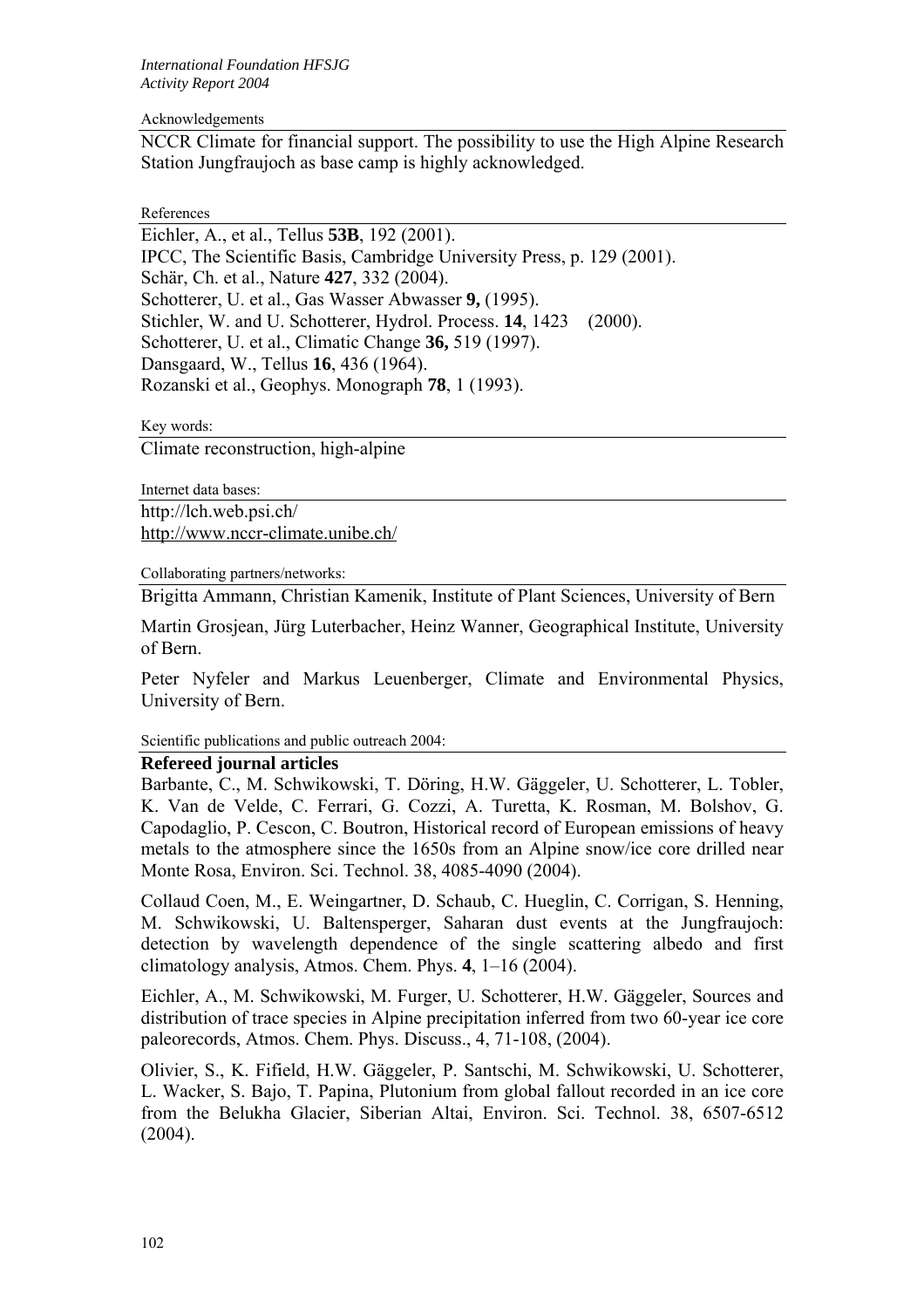#### Acknowledgements

NCCR Climate for financial support. The possibility to use the High Alpine Research Station Jungfraujoch as base camp is highly acknowledged.

References

Eichler, A., et al., Tellus **53B**, 192 (2001). IPCC, The Scientific Basis, Cambridge University Press, p. 129 (2001). Schär, Ch. et al., Nature **427**, 332 (2004). Schotterer, U. et al., Gas Wasser Abwasser **9,** (1995). Stichler, W. and U. Schotterer, Hydrol. Process. **14**, 1423 (2000). Schotterer, U. et al., Climatic Change **36,** 519 (1997). Dansgaard, W., Tellus **16**, 436 (1964). Rozanski et al., Geophys. Monograph **78**, 1 (1993).

Key words:

Climate reconstruction, high-alpine

Internet data bases: http://lch.web.psi.ch/ <http://www.nccr-climate.unibe.ch/>

Collaborating partners/networks:

Brigitta Ammann, Christian Kamenik, Institute of Plant Sciences, University of Bern

Martin Grosjean, Jürg Luterbacher, Heinz Wanner, Geographical Institute, University of Bern.

Peter Nyfeler and Markus Leuenberger, Climate and Environmental Physics, University of Bern.

Scientific publications and public outreach 2004:

## **Refereed journal articles**

Barbante, C., M. Schwikowski, T. Döring, H.W. Gäggeler, U. Schotterer, L. Tobler, K. Van de Velde, C. Ferrari, G. Cozzi, A. Turetta, K. Rosman, M. Bolshov, G. Capodaglio, P. Cescon, C. Boutron, Historical record of European emissions of heavy metals to the atmosphere since the 1650s from an Alpine snow/ice core drilled near Monte Rosa, Environ. Sci. Technol. 38, 4085-4090 (2004).

Collaud Coen, M., E. Weingartner, D. Schaub, C. Hueglin, C. Corrigan, S. Henning, M. Schwikowski, U. Baltensperger, Saharan dust events at the Jungfraujoch: detection by wavelength dependence of the single scattering albedo and first climatology analysis, Atmos. Chem. Phys. **4**, 1–16 (2004).

Eichler, A., M. Schwikowski, M. Furger, U. Schotterer, H.W. Gäggeler, Sources and distribution of trace species in Alpine precipitation inferred from two 60-year ice core paleorecords, Atmos. Chem. Phys. Discuss., 4, 71-108, (2004).

Olivier, S., K. Fifield, H.W. Gäggeler, P. Santschi, M. Schwikowski, U. Schotterer, L. Wacker, S. Bajo, T. Papina, Plutonium from global fallout recorded in an ice core from the Belukha Glacier, Siberian Altai, Environ. Sci. Technol. 38, 6507-6512 (2004).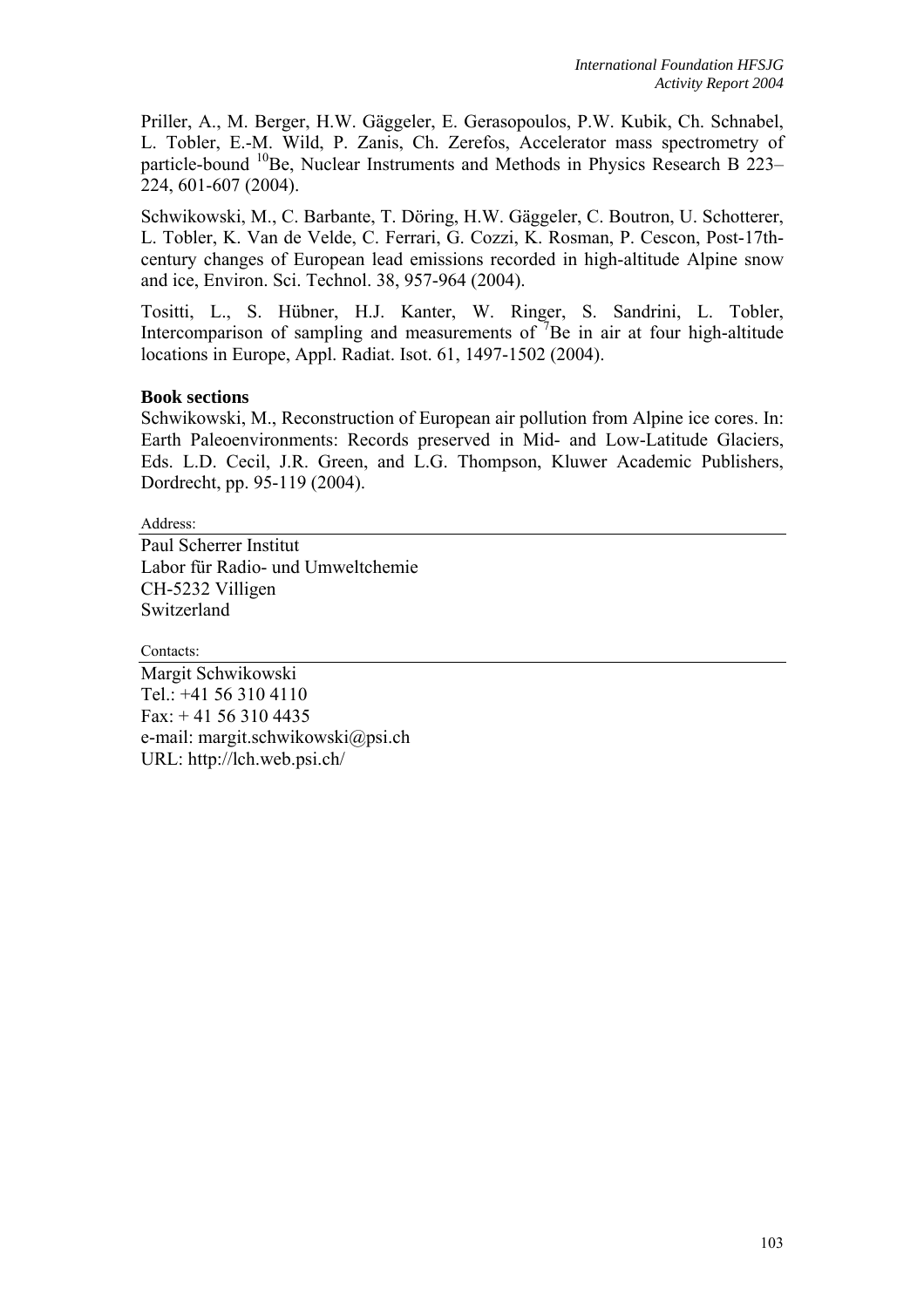Priller, A., M. Berger, H.W. Gäggeler, E. Gerasopoulos, P.W. Kubik, Ch. Schnabel, L. Tobler, E.-M. Wild, P. Zanis, Ch. Zerefos, Accelerator mass spectrometry of particle-bound <sup>10</sup>Be, Nuclear Instruments and Methods in Physics Research B 223– 224, 601-607 (2004).

Schwikowski, M., C. Barbante, T. Döring, H.W. Gäggeler, C. Boutron, U. Schotterer, L. Tobler, K. Van de Velde, C. Ferrari, G. Cozzi, K. Rosman, P. Cescon, Post-17thcentury changes of European lead emissions recorded in high-altitude Alpine snow and ice, Environ. Sci. Technol. 38, 957-964 (2004).

Tositti, L., S. Hübner, H.J. Kanter, W. Ringer, S. Sandrini, L. Tobler, Intercomparison of sampling and measurements of  $\bar{7}$ Be in air at four high-altitude locations in Europe, Appl. Radiat. Isot. 61, 1497-1502 (2004).

# **Book sections**

Schwikowski, M., Reconstruction of European air pollution from Alpine ice cores. In: Earth Paleoenvironments: Records preserved in Mid- and Low-Latitude Glaciers, Eds. L.D. Cecil, J.R. Green, and L.G. Thompson, Kluwer Academic Publishers, Dordrecht, pp. 95-119 (2004).

Address:

Paul Scherrer Institut Labor für Radio- und Umweltchemie CH-5232 Villigen Switzerland

Contacts:

Margit Schwikowski Tel.: +41 56 310 4110 Fax: + 41 56 310 4435 e-mail: margit.schwikowski@psi.ch URL: http://lch.web.psi.ch/